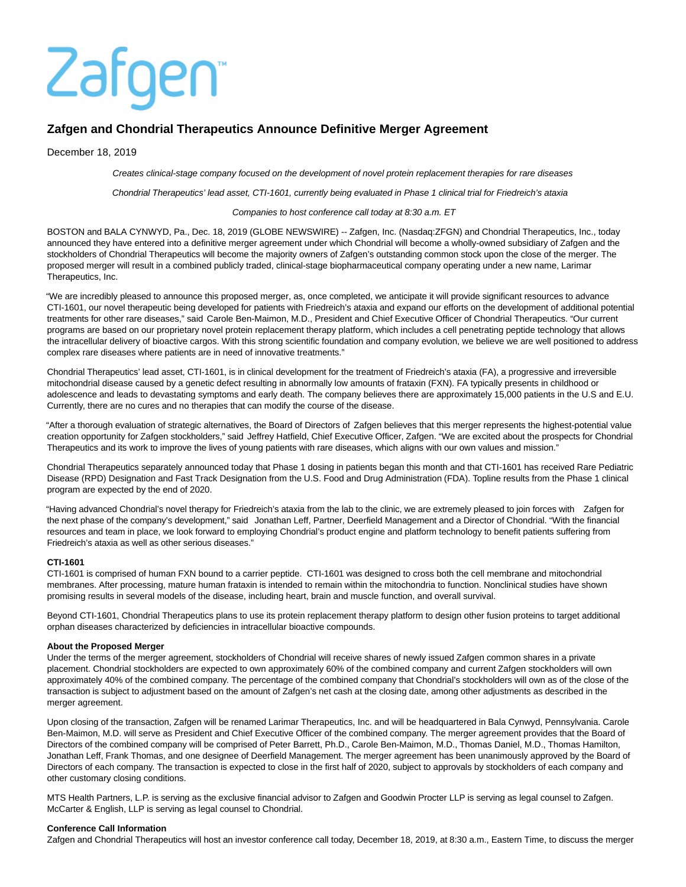# Zafgen

# **Zafgen and Chondrial Therapeutics Announce Definitive Merger Agreement**

December 18, 2019

Creates clinical-stage company focused on the development of novel protein replacement therapies for rare diseases

Chondrial Therapeutics' lead asset, CTI-1601, currently being evaluated in Phase 1 clinical trial for Friedreich's ataxia

#### Companies to host conference call today at 8:30 a.m. ET

BOSTON and BALA CYNWYD, Pa., Dec. 18, 2019 (GLOBE NEWSWIRE) -- Zafgen, Inc. (Nasdaq:ZFGN) and Chondrial Therapeutics, Inc., today announced they have entered into a definitive merger agreement under which Chondrial will become a wholly-owned subsidiary of Zafgen and the stockholders of Chondrial Therapeutics will become the majority owners of Zafgen's outstanding common stock upon the close of the merger. The proposed merger will result in a combined publicly traded, clinical-stage biopharmaceutical company operating under a new name, Larimar Therapeutics, Inc.

"We are incredibly pleased to announce this proposed merger, as, once completed, we anticipate it will provide significant resources to advance CTI-1601, our novel therapeutic being developed for patients with Friedreich's ataxia and expand our efforts on the development of additional potential treatments for other rare diseases," said Carole Ben-Maimon, M.D., President and Chief Executive Officer of Chondrial Therapeutics. "Our current programs are based on our proprietary novel protein replacement therapy platform, which includes a cell penetrating peptide technology that allows the intracellular delivery of bioactive cargos. With this strong scientific foundation and company evolution, we believe we are well positioned to address complex rare diseases where patients are in need of innovative treatments."

Chondrial Therapeutics' lead asset, CTI-1601, is in clinical development for the treatment of Friedreich's ataxia (FA), a progressive and irreversible mitochondrial disease caused by a genetic defect resulting in abnormally low amounts of frataxin (FXN). FA typically presents in childhood or adolescence and leads to devastating symptoms and early death. The company believes there are approximately 15,000 patients in the U.S and E.U. Currently, there are no cures and no therapies that can modify the course of the disease.

"After a thorough evaluation of strategic alternatives, the Board of Directors of Zafgen believes that this merger represents the highest-potential value creation opportunity for Zafgen stockholders," said Jeffrey Hatfield, Chief Executive Officer, Zafgen. "We are excited about the prospects for Chondrial Therapeutics and its work to improve the lives of young patients with rare diseases, which aligns with our own values and mission."

Chondrial Therapeutics separately announced today that Phase 1 dosing in patients began this month and that CTI-1601 has received Rare Pediatric Disease (RPD) Designation and Fast Track Designation from the U.S. Food and Drug Administration (FDA). Topline results from the Phase 1 clinical program are expected by the end of 2020.

"Having advanced Chondrial's novel therapy for Friedreich's ataxia from the lab to the clinic, we are extremely pleased to join forces with Zafgen for the next phase of the company's development," said Jonathan Leff, Partner, Deerfield Management and a Director of Chondrial. "With the financial resources and team in place, we look forward to employing Chondrial's product engine and platform technology to benefit patients suffering from Friedreich's ataxia as well as other serious diseases."

# **CTI-1601**

CTI-1601 is comprised of human FXN bound to a carrier peptide. CTI-1601 was designed to cross both the cell membrane and mitochondrial membranes. After processing, mature human frataxin is intended to remain within the mitochondria to function. Nonclinical studies have shown promising results in several models of the disease, including heart, brain and muscle function, and overall survival.

Beyond CTI-1601, Chondrial Therapeutics plans to use its protein replacement therapy platform to design other fusion proteins to target additional orphan diseases characterized by deficiencies in intracellular bioactive compounds.

# **About the Proposed Merger**

Under the terms of the merger agreement, stockholders of Chondrial will receive shares of newly issued Zafgen common shares in a private placement. Chondrial stockholders are expected to own approximately 60% of the combined company and current Zafgen stockholders will own approximately 40% of the combined company. The percentage of the combined company that Chondrial's stockholders will own as of the close of the transaction is subject to adjustment based on the amount of Zafgen's net cash at the closing date, among other adjustments as described in the merger agreement.

Upon closing of the transaction, Zafgen will be renamed Larimar Therapeutics, Inc. and will be headquartered in Bala Cynwyd, Pennsylvania. Carole Ben-Maimon, M.D. will serve as President and Chief Executive Officer of the combined company. The merger agreement provides that the Board of Directors of the combined company will be comprised of Peter Barrett, Ph.D., Carole Ben-Maimon, M.D., Thomas Daniel, M.D., Thomas Hamilton, Jonathan Leff, Frank Thomas, and one designee of Deerfield Management. The merger agreement has been unanimously approved by the Board of Directors of each company. The transaction is expected to close in the first half of 2020, subject to approvals by stockholders of each company and other customary closing conditions.

MTS Health Partners, L.P. is serving as the exclusive financial advisor to Zafgen and Goodwin Procter LLP is serving as legal counsel to Zafgen. McCarter & English, LLP is serving as legal counsel to Chondrial.

# **Conference Call Information**

Zafgen and Chondrial Therapeutics will host an investor conference call today, December 18, 2019, at 8:30 a.m., Eastern Time, to discuss the merger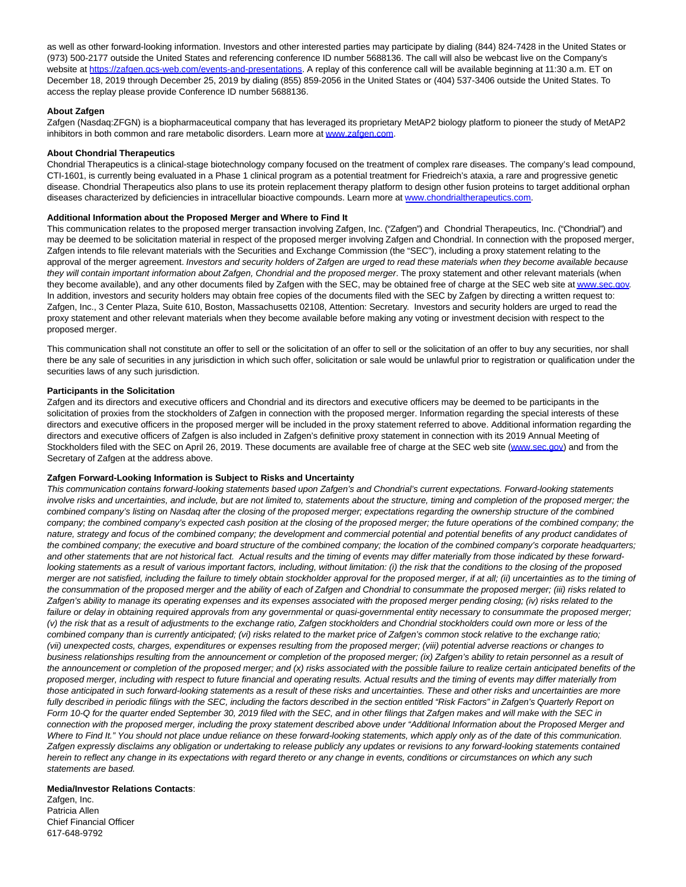as well as other forward-looking information. Investors and other interested parties may participate by dialing (844) 824-7428 in the United States or (973) 500-2177 outside the United States and referencing conference ID number 5688136. The call will also be webcast live on the Company's website at https://zafgen.gcs-web.com/events-and-presentations</u>. A replay of this conference call will be available beginning at 11:30 a.m. ET on December 18, 2019 through December 25, 2019 by dialing (855) 859-2056 in the United States or (404) 537-3406 outside the United States. To access the replay please provide Conference ID number 5688136.

# **About Zafgen**

Zafgen (Nasdaq:ZFGN) is a biopharmaceutical company that has leveraged its proprietary MetAP2 biology platform to pioneer the study of MetAP2 inhibitors in both common and rare metabolic disorders. Learn more at [www.zafgen.com.](http://www.zafgen.com/)

# **About Chondrial Therapeutics**

Chondrial Therapeutics is a clinical-stage biotechnology company focused on the treatment of complex rare diseases. The company's lead compound, CTI-1601, is currently being evaluated in a Phase 1 clinical program as a potential treatment for Friedreich's ataxia, a rare and progressive genetic disease. Chondrial Therapeutics also plans to use its protein replacement therapy platform to design other fusion proteins to target additional orphan diseases characterized by deficiencies in intracellular bioactive compounds. Learn more at [www.chondrialtherapeutics.com.](http://www.chondrialtherapeutics.com/)

#### **Additional Information about the Proposed Merger and Where to Find It**

This communication relates to the proposed merger transaction involving Zafgen, Inc. ("Zafgen") and Chondrial Therapeutics, Inc. ("Chondrial") and may be deemed to be solicitation material in respect of the proposed merger involving Zafgen and Chondrial. In connection with the proposed merger, Zafgen intends to file relevant materials with the Securities and Exchange Commission (the "SEC"), including a proxy statement relating to the approval of the merger agreement. Investors and security holders of Zafgen are urged to read these materials when they become available because they will contain important information about Zafgen, Chondrial and the proposed merger. The proxy statement and other relevant materials (when they become available), and any other documents filed by Zafgen with the SEC, may be obtained free of charge at the SEC web site a[t www.sec.gov.](http://www.sec.gov/) In addition, investors and security holders may obtain free copies of the documents filed with the SEC by Zafgen by directing a written request to: Zafgen, Inc., 3 Center Plaza, Suite 610, Boston, Massachusetts 02108, Attention: Secretary. Investors and security holders are urged to read the proxy statement and other relevant materials when they become available before making any voting or investment decision with respect to the proposed merger.

This communication shall not constitute an offer to sell or the solicitation of an offer to sell or the solicitation of an offer to buy any securities, nor shall there be any sale of securities in any jurisdiction in which such offer, solicitation or sale would be unlawful prior to registration or qualification under the securities laws of any such jurisdiction.

#### **Participants in the Solicitation**

Zafgen and its directors and executive officers and Chondrial and its directors and executive officers may be deemed to be participants in the solicitation of proxies from the stockholders of Zafgen in connection with the proposed merger. Information regarding the special interests of these directors and executive officers in the proposed merger will be included in the proxy statement referred to above. Additional information regarding the directors and executive officers of Zafgen is also included in Zafgen's definitive proxy statement in connection with its 2019 Annual Meeting of Stockholders filed with the SEC on April 26, 2019. These documents are available free of charge at the SEC web site [\(www.sec.gov\)](http://www.sec.gov/) and from the Secretary of Zafgen at the address above.

# **Zafgen Forward-Looking Information is Subject to Risks and Uncertainty**

This communication contains forward-looking statements based upon Zafgen's and Chondrial's current expectations. Forward-looking statements involve risks and uncertainties, and include, but are not limited to, statements about the structure, timing and completion of the proposed merger; the combined company's listing on Nasdaq after the closing of the proposed merger; expectations regarding the ownership structure of the combined company; the combined company's expected cash position at the closing of the proposed merger; the future operations of the combined company; the nature, strategy and focus of the combined company; the development and commercial potential and potential benefits of any product candidates of the combined company; the executive and board structure of the combined company; the location of the combined company's corporate headquarters; and other statements that are not historical fact. Actual results and the timing of events may differ materially from those indicated by these forwardlooking statements as a result of various important factors, including, without limitation: (i) the risk that the conditions to the closing of the proposed merger are not satisfied, including the failure to timely obtain stockholder approval for the proposed merger, if at all; (ii) uncertainties as to the timing of the consummation of the proposed merger and the ability of each of Zafgen and Chondrial to consummate the proposed merger; (iii) risks related to Zafgen's ability to manage its operating expenses and its expenses associated with the proposed merger pending closing; (iv) risks related to the failure or delay in obtaining required approvals from any governmental or quasi-governmental entity necessary to consummate the proposed merger; (v) the risk that as a result of adjustments to the exchange ratio, Zafgen stockholders and Chondrial stockholders could own more or less of the combined company than is currently anticipated; (vi) risks related to the market price of Zafgen's common stock relative to the exchange ratio; (vii) unexpected costs, charges, expenditures or expenses resulting from the proposed merger; (viii) potential adverse reactions or changes to business relationships resulting from the announcement or completion of the proposed merger; (ix) Zafgen's ability to retain personnel as a result of the announcement or completion of the proposed merger; and (x) risks associated with the possible failure to realize certain anticipated benefits of the proposed merger, including with respect to future financial and operating results. Actual results and the timing of events may differ materially from those anticipated in such forward-looking statements as a result of these risks and uncertainties. These and other risks and uncertainties are more fully described in periodic filings with the SEC, including the factors described in the section entitled "Risk Factors" in Zafgen's Quarterly Report on Form 10-Q for the quarter ended September 30, 2019 filed with the SEC, and in other filings that Zafgen makes and will make with the SEC in connection with the proposed merger, including the proxy statement described above under "Additional Information about the Proposed Merger and Where to Find It." You should not place undue reliance on these forward-looking statements, which apply only as of the date of this communication. Zafgen expressly disclaims any obligation or undertaking to release publicly any updates or revisions to any forward-looking statements contained herein to reflect any change in its expectations with regard thereto or any change in events, conditions or circumstances on which any such statements are based.

#### **Media/Investor Relations Contacts**:

Zafgen, Inc. Patricia Allen Chief Financial Officer 617-648-9792